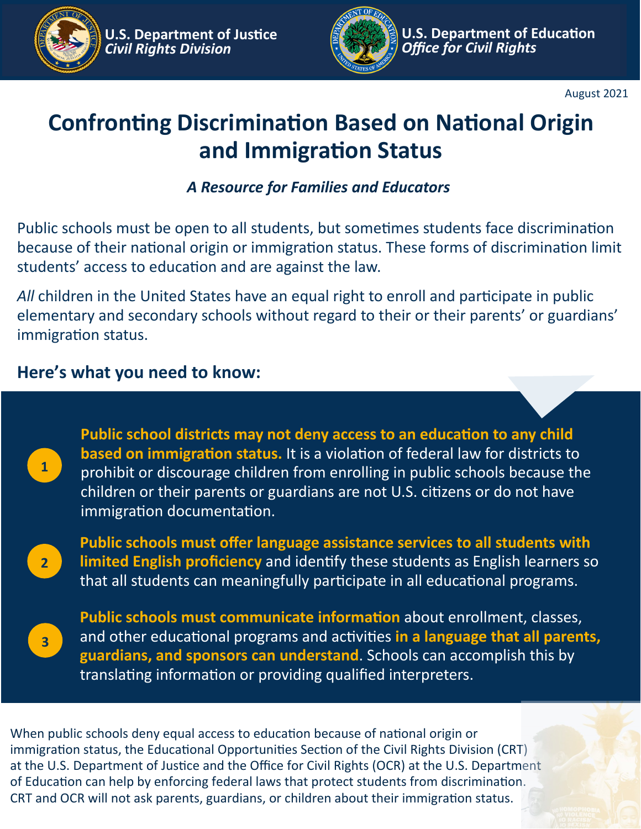



**U.S. Department of Education** *Office for Civil Rights*

August 2021

# **Confronting Discrimination Based on National Origin and Immigration Status**

### *A Resource for Families and Educators*

Public schools must be open to all students, but sometimes students face discrimination because of their national origin or immigration status. These forms of discrimination limit students' access to education and are against the law.

All children in the United States have an equal right to enroll and participate in public elementary and secondary schools without regard to their or their parents' or guardians' immigration status.

### **Here's what you need to know:**



**Public school districts may not deny access to an education to any child based on immigration status.** It is a violation of federal law for districts to prohibit or discourage children from enrolling in public schools because the children or their parents or guardians are not U.S. citizens or do not have immigration documentation.



**3**

**Public schools must offer language assistance services to all students with limited English proficiency** and identify these students as English learners so that all students can meaningfully participate in all educational programs.

**Public schools must communicate information** about enrollment, classes, and other educational programs and activities **in a language that all parents, guardians, and sponsors can understand**. Schools can accomplish this by translating information or providing qualified interpreters.

When public schools deny equal access to education because of national origin or immigration status, the Educational Opportunities Section of the Civil Rights Division (CRT) at the U.S. Department of Justice and the Office for Civil Rights (OCR) at the U.S. Department of Education can help by enforcing federal laws that protect students from discrimination. CRT and OCR will not ask parents, guardians, or children about their immigration status.